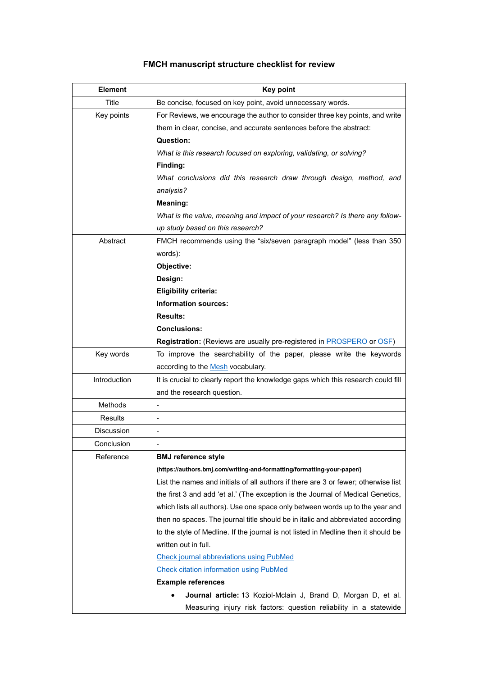## **FMCH manuscript structure checklist for review**

| <b>Element</b>    | <b>Key point</b>                                                                    |
|-------------------|-------------------------------------------------------------------------------------|
| <b>Title</b>      | Be concise, focused on key point, avoid unnecessary words.                          |
| Key points        | For Reviews, we encourage the author to consider three key points, and write        |
|                   | them in clear, concise, and accurate sentences before the abstract:                 |
|                   | Question:                                                                           |
|                   | What is this research focused on exploring, validating, or solving?                 |
|                   | Finding:                                                                            |
|                   | What conclusions did this research draw through design, method, and                 |
|                   | analysis?                                                                           |
|                   | Meaning:                                                                            |
|                   | What is the value, meaning and impact of your research? Is there any follow-        |
|                   | up study based on this research?                                                    |
| Abstract          | FMCH recommends using the "six/seven paragraph model" (less than 350                |
|                   | words):                                                                             |
|                   | Objective:                                                                          |
|                   | Design:                                                                             |
|                   | <b>Eligibility criteria:</b>                                                        |
|                   | <b>Information sources:</b>                                                         |
|                   | <b>Results:</b>                                                                     |
|                   | <b>Conclusions:</b>                                                                 |
|                   | <b>Registration:</b> (Reviews are usually pre-registered in <b>PROSPERO</b> or OSF) |
| Key words         | To improve the searchability of the paper, please write the keywords                |
|                   | according to the Mesh vocabulary.                                                   |
| Introduction      | It is crucial to clearly report the knowledge gaps which this research could fill   |
|                   | and the research question.                                                          |
| Methods           |                                                                                     |
| <b>Results</b>    |                                                                                     |
| <b>Discussion</b> |                                                                                     |
| Conclusion        | $\overline{a}$                                                                      |
| Reference         | <b>BMJ</b> reference style                                                          |
|                   | (https://authors.bmj.com/writing-and-formatting/formatting-your-paper/)             |
|                   | List the names and initials of all authors if there are 3 or fewer; otherwise list  |
|                   | the first 3 and add 'et al.' (The exception is the Journal of Medical Genetics,     |
|                   | which lists all authors). Use one space only between words up to the year and       |
|                   | then no spaces. The journal title should be in italic and abbreviated according     |
|                   | to the style of Medline. If the journal is not listed in Medline then it should be  |
|                   | written out in full.                                                                |
|                   | <b>Check journal abbreviations using PubMed</b>                                     |
|                   | <b>Check citation information using PubMed</b>                                      |
|                   | <b>Example references</b>                                                           |
|                   | Journal article: 13 Koziol-Mclain J, Brand D, Morgan D, et al.                      |
|                   | Measuring injury risk factors: question reliability in a statewide                  |